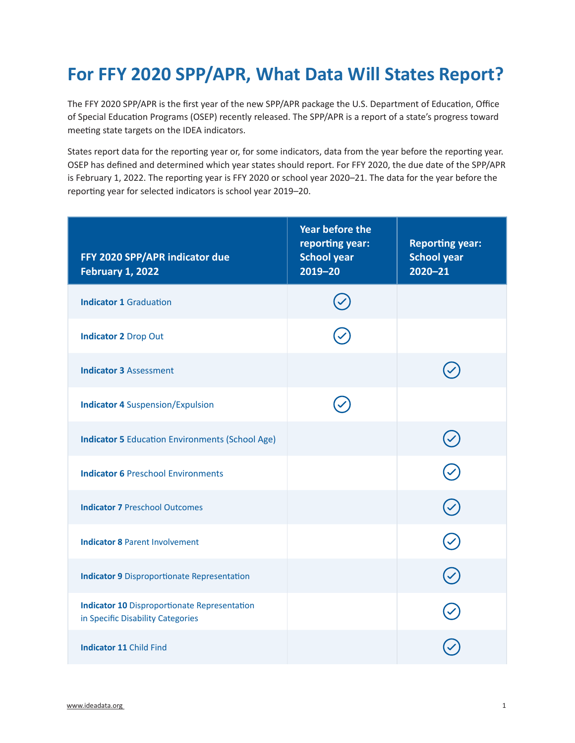## **For FFY 2020 SPP/APR, What Data Will States Report?**

The FFY 2020 SPP/APR is the first year of the new SPP/APR package the U.S. Department of Education, Office of Special Education Programs (OSEP) recently released. The SPP/APR is a report of a state's progress toward meeting state targets on the IDEA indicators.

States report data for the reporting year or, for some indicators, data from the year before the reporting year. OSEP has defined and determined which year states should report. For FFY 2020, the due date of the SPP/APR is February 1, 2022. The reporting year is FFY 2020 or school year 2020–21. The data for the year before the reporting year for selected indicators is school year 2019–20.

| FFY 2020 SPP/APR indicator due<br><b>February 1, 2022</b>                                | <b>Year before the</b><br>reporting year:<br><b>School year</b><br>$2019 - 20$ | <b>Reporting year:</b><br><b>School year</b><br>$2020 - 21$ |
|------------------------------------------------------------------------------------------|--------------------------------------------------------------------------------|-------------------------------------------------------------|
| <b>Indicator 1 Graduation</b>                                                            |                                                                                |                                                             |
| <b>Indicator 2 Drop Out</b>                                                              |                                                                                |                                                             |
| <b>Indicator 3 Assessment</b>                                                            |                                                                                |                                                             |
| <b>Indicator 4 Suspension/Expulsion</b>                                                  |                                                                                |                                                             |
| <b>Indicator 5 Education Environments (School Age)</b>                                   |                                                                                |                                                             |
| <b>Indicator 6 Preschool Environments</b>                                                |                                                                                |                                                             |
| <b>Indicator 7 Preschool Outcomes</b>                                                    |                                                                                |                                                             |
| <b>Indicator 8 Parent Involvement</b>                                                    |                                                                                |                                                             |
| <b>Indicator 9 Disproportionate Representation</b>                                       |                                                                                |                                                             |
| <b>Indicator 10 Disproportionate Representation</b><br>in Specific Disability Categories |                                                                                |                                                             |
| <b>Indicator 11 Child Find</b>                                                           |                                                                                |                                                             |